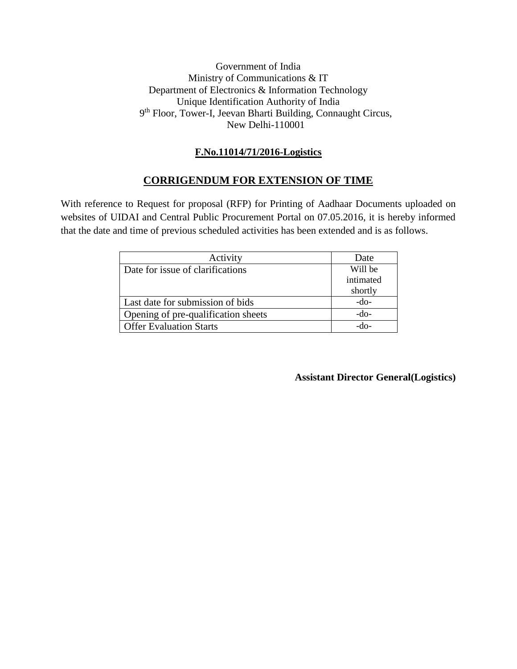#### Government of India Ministry of Communications & IT Department of Electronics & Information Technology Unique Identification Authority of India 9<sup>th</sup> Floor, Tower-I, Jeevan Bharti Building, Connaught Circus, New Delhi-110001

#### **F.No.11014/71/2016-Logistics**

#### **CORRIGENDUM FOR EXTENSION OF TIME**

With reference to Request for proposal (RFP) for Printing of Aadhaar Documents uploaded on websites of UIDAI and Central Public Procurement Portal on 07.05.2016, it is hereby informed that the date and time of previous scheduled activities has been extended and is as follows.

| Activity                            | Date      |
|-------------------------------------|-----------|
| Date for issue of clarifications    | Will be   |
|                                     | intimated |
|                                     | shortly   |
| Last date for submission of bids    | $-do-$    |
| Opening of pre-qualification sheets | -do-      |
| <b>Offer Evaluation Starts</b>      |           |

#### **Assistant Director General(Logistics)**